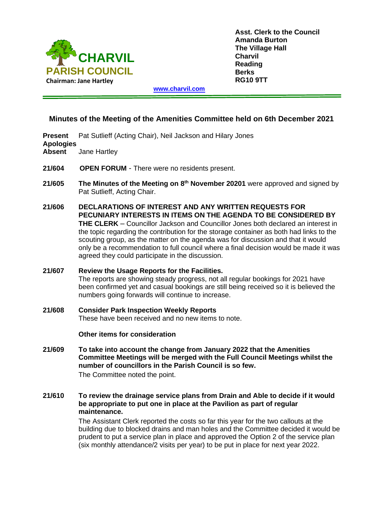

**Asst. Clerk to the Council Amanda Burton The Village Hall Charvil Reading Berks RG10 9TT**

**[www.charvil.com](http://www.charvil.com/)**

# **Minutes of the Meeting of the Amenities Committee held on 6th December 2021**

**Present** Pat Sutlieff (Acting Chair), Neil Jackson and Hilary Jones **Apologies Absent** Jane Hartley

- **21/604 OPEN FORUM** There were no residents present.
- **21/605** The Minutes of the Meeting on 8<sup>th</sup> November 20201 were approved and signed by Pat Sutlieff, Acting Chair.
- **21/606 DECLARATIONS OF INTEREST AND ANY WRITTEN REQUESTS FOR PECUNIARY INTERESTS IN ITEMS ON THE AGENDA TO BE CONSIDERED BY THE CLERK** – Councillor Jackson and Councillor Jones both declared an interest in the topic regarding the contribution for the storage container as both had links to the scouting group, as the matter on the agenda was for discussion and that it would only be a recommendation to full council where a final decision would be made it was agreed they could participate in the discussion.
- **21/607 Review the Usage Reports for the Facilities.** The reports are showing steady progress, not all regular bookings for 2021 have been confirmed yet and casual bookings are still being received so it is believed the numbers going forwards will continue to increase.
- **21/608 Consider Park Inspection Weekly Reports** These have been received and no new items to note.

**Other items for consideration**

- **21/609 To take into account the change from January 2022 that the Amenities Committee Meetings will be merged with the Full Council Meetings whilst the number of councillors in the Parish Council is so few.**  The Committee noted the point.
- **21/610 To review the drainage service plans from Drain and Able to decide if it would be appropriate to put one in place at the Pavilion as part of regular maintenance.**

The Assistant Clerk reported the costs so far this year for the two callouts at the building due to blocked drains and man holes and the Committee decided it would be prudent to put a service plan in place and approved the Option 2 of the service plan (six monthly attendance/2 visits per year) to be put in place for next year 2022.